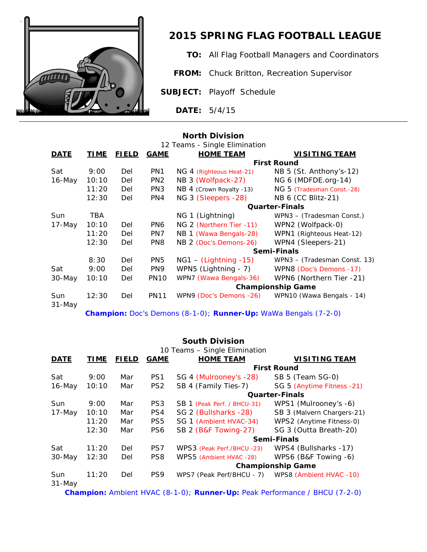

# *2015 SPRING FLAG FOOTBALL LEAGUE*

**TO:** All Flag Football Managers and Coordinators

**FROM:** Chuck Britton, Recreation Supervisor

**SUBJECT:** Playoff Schedule

**DATE:** 5/4/15

## **North Division**

| 12 Teams - Single Elimination |             |              |                 |                          |                              |  |  |
|-------------------------------|-------------|--------------|-----------------|--------------------------|------------------------------|--|--|
| <b>DATE</b>                   | <u>TIME</u> | <u>FIELD</u> | <b>GAME</b>     | <b>HOME TEAM</b>         | <b>VISITING TEAM</b>         |  |  |
|                               |             |              |                 |                          | <b>First Round</b>           |  |  |
| Sat                           | 9:00        | Del          | PN <sub>1</sub> | NG 4 (Righteous Heat-21) | NB 5 (St. Anthony's-12)      |  |  |
| $16$ -May                     | 10:10       | Del          | PN <sub>2</sub> | NB 3 (Wolfpack-27)       | NG 6 (MDFDE.org-14)          |  |  |
|                               | 11:20       | Del          | PN <sub>3</sub> | NB 4 (Crown Royalty -13) | NG 5 (Tradesman Const.-28)   |  |  |
|                               | 12:30       | Del          | PN4             | NG 3 (Sleepers -28)      | NB 6 (CC Blitz-21)           |  |  |
|                               |             |              |                 |                          | <b>Quarter-Finals</b>        |  |  |
| Sun                           | <b>TBA</b>  |              |                 | NG 1 (Lightning)         | WPN3 – (Tradesman Const.)    |  |  |
| 17-May                        | 10:10       | Del          | PN <sub>6</sub> | NG 2 (Northern Tier -11) | WPN2 (Wolfpack-0)            |  |  |
|                               | 11:20       | Del          | PN7             | NB 1 (Wawa Bengals-28)   | WPN1 (Righteous Heat-12)     |  |  |
|                               | 12:30       | Del          | PN8             | NB 2 (Doc's Demons-26)   | WPN4 (Sleepers-21)           |  |  |
|                               |             |              |                 | Semi-Finals              |                              |  |  |
|                               | 8:30        | Del          | PN <sub>5</sub> | $NG1 - (Lightning -15)$  | WPN3 - (Tradesman Const. 13) |  |  |
| Sat                           | 9:00        | Del          | PN <sub>9</sub> | WPN5 (Lightning - 7)     | WPN8 (Doc's Demons -17)      |  |  |
| 30-May                        | 10:10       | Del          | <b>PN10</b>     | WPN7 (Wawa Bengals-36)   | WPN6 (Northern Tier -21)     |  |  |
|                               |             |              |                 | <b>Championship Game</b> |                              |  |  |
| Sun<br>$31 - May$             | 12:30       | Del          | <b>PN11</b>     | WPN9 (Doc's Demons -26)  | WPN10 (Wawa Bengals - 14)    |  |  |

*Champion: Doc's Demons (8-1-0); Runner-Up: WaWa Bengals (7-2-0)*

## **South Division**

| 10 Teams - Single Elimination |             |              |                 |                             |                            |  |  |  |
|-------------------------------|-------------|--------------|-----------------|-----------------------------|----------------------------|--|--|--|
| <b>DATE</b>                   | <b>TIME</b> | <b>FIELD</b> | <b>GAME</b>     | <b>HOME TEAM</b>            | <b>VISITING TEAM</b>       |  |  |  |
|                               |             |              |                 |                             | <b>First Round</b>         |  |  |  |
| Sat                           | 9:00        | Mar          | PS <sub>1</sub> | SG 4 (Mulrooney's -28)      | SB 5 (Team SG-0)           |  |  |  |
| $16$ -May                     | 10:10       | Mar          | PS <sub>2</sub> | SB 4 (Family Ties-7)        | SG 5 (Anytime Fitness -21) |  |  |  |
|                               |             |              |                 | <b>Quarter-Finals</b>       |                            |  |  |  |
| <b>Sun</b>                    | 9:00        | Mar          | PS <sub>3</sub> | SB 1 (Peak Perf. / BHCU-31) | WPS1 (Mulrooney's -6)      |  |  |  |
| $17$ -May                     | 10:10       | Mar          | PS4             | SG 2 (Bullsharks -28)       | SB 3 (Malvern Chargers-21) |  |  |  |
|                               | 11:20       | Mar          | PS <sub>5</sub> | SG 1 (Ambient HVAC-34)      | WPS2 (Anytime Fitness-0)   |  |  |  |
|                               | 12:30       | Mar          | PS <sub>6</sub> | SB 2 (B&F Towing-27)        | SG 3 (Outta Breath-20)     |  |  |  |
|                               |             |              |                 | Semi-Finals                 |                            |  |  |  |
| Sat                           | 11:20       | Del          | PS7             | WPS3 (Peak Perf./BHCU -23)  | WPS4 (Bullsharks -17)      |  |  |  |
| 30-May                        | 12:30       | Del          | PS8             | WPS5 (Ambient HVAC -28)     | WPS6 (B&F Towing -6)       |  |  |  |
|                               |             |              |                 | <b>Championship Game</b>    |                            |  |  |  |
| Sun<br>$31$ -May              | 11:20       | Del          | PS9             | WPS7 (Peak Perf/BHCU - 7)   | WPS8 (Ambient HVAC -10)    |  |  |  |

*Champion: Ambient HVAC (8-1-0); Runner-Up: Peak Performance / BHCU (7-2-0)*